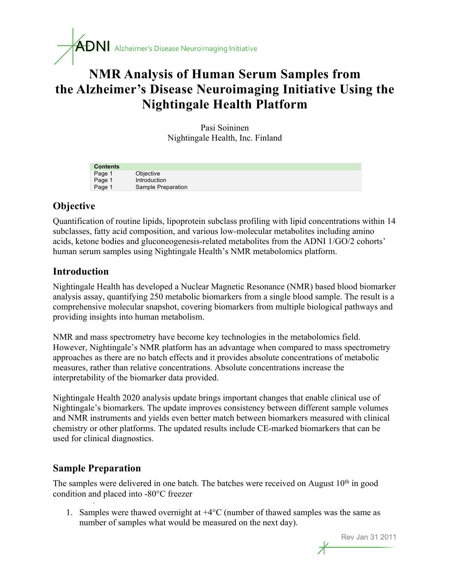

# **NMR Analysis of Human Serum Samples from the Alzheimer's Disease Neuroimaging Initiative Using the Nightingale Health Platform**

Pasi Soininen Nightingale Health, Inc. Finland

| <b>Contents</b> |                    |
|-----------------|--------------------|
| Page 1          | Objective          |
| Page 1          | Introduction       |
| Page 1          | Sample Preparation |

# **Objective**

Quantification of routine lipids, lipoprotein subclass profiling with lipid concentrations within 14 subclasses, fatty acid composition, and various low-molecular metabolites including amino acids, ketone bodies and gluconeogenesis-related metabolites from the ADNI 1/GO/2 cohorts' human serum samples using Nightingale Health's NMR metabolomics platform.

# **Introduction**

Nightingale Health has developed a Nuclear Magnetic Resonance (NMR) based blood biomarker analysis assay, quantifying 250 metabolic biomarkers from a single blood sample. The result is a comprehensive molecular snapshot, covering biomarkers from multiple biological pathways and providing insights into human metabolism.

NMR and mass spectrometry have become key technologies in the metabolomics field. However, Nightingale's NMR platform has an advantage when compared to mass spectrometry approaches as there are no batch effects and it provides absolute concentrations of metabolic measures, rather than relative concentrations. Absolute concentrations increase the interpretability of the biomarker data provided.

Nightingale Health 2020 analysis update brings important changes that enable clinical use of Nightingale's biomarkers. The update improves consistency between different sample volumes and NMR instruments and yields even better match between biomarkers measured with clinical chemistry or other platforms. The updated results include CE-marked biomarkers that can be used for clinical diagnostics.

## **Sample Preparation**

·

The samples were delivered in one batch. The batches were received on August  $10<sup>th</sup>$  in good condition and placed into -80°C freezer

1. Samples were thawed overnight at  $+4^{\circ}C$  (number of thawed samples was the same as number of samples what would be measured on the next day).

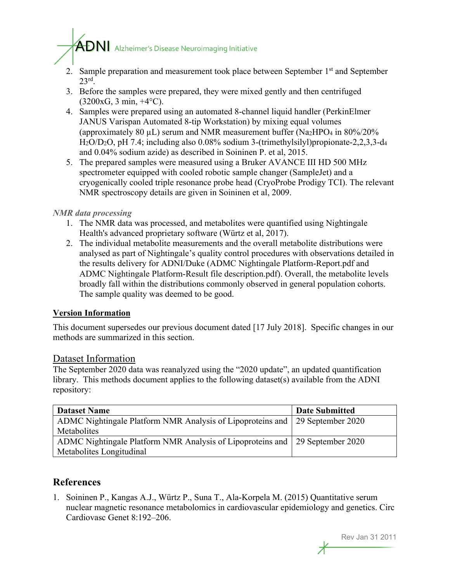# $\mathbf{A}\mathbf{D}\mathbf{N}$  Alzheimer's Disease Neuroimaging Initiative

- 2. Sample preparation and measurement took place between September 1<sup>st</sup> and September 23rd.
- 3. Before the samples were prepared, they were mixed gently and then centrifuged  $(3200xG, 3 min, +4°C).$
- 4. Samples were prepared using an automated 8-channel liquid handler (PerkinElmer JANUS Varispan Automated 8-tip Workstation) by mixing equal volumes (approximately 80  $\mu$ L) serum and NMR measurement buffer (Na<sub>2</sub>HPO<sub>4</sub> in 80%/20% H2O/D2O, pH 7.4; including also 0.08% sodium 3-(trimethylsilyl)propionate-2,2,3,3-d4 and 0.04% sodium azide) as described in Soininen P. et al, 2015.
- 5. The prepared samples were measured using a Bruker AVANCE III HD 500 MHz spectrometer equipped with cooled robotic sample changer (SampleJet) and a cryogenically cooled triple resonance probe head (CryoProbe Prodigy TCI). The relevant NMR spectroscopy details are given in Soininen et al, 2009.

#### *NMR data processing*

- 1. The NMR data was processed, and metabolites were quantified using Nightingale Health's advanced proprietary software (Würtz et al, 2017).
- 2. The individual metabolite measurements and the overall metabolite distributions were analysed as part of Nightingale's quality control procedures with observations detailed in the results delivery for ADNI/Duke (ADMC Nightingale Platform-Report.pdf and ADMC Nightingale Platform-Result file description.pdf). Overall, the metabolite levels broadly fall within the distributions commonly observed in general population cohorts. The sample quality was deemed to be good.

#### **Version Information**

This document supersedes our previous document dated [17 July 2018]. Specific changes in our methods are summarized in this section.

#### Dataset Information

The September 2020 data was reanalyzed using the "2020 update", an updated quantification library. This methods document applies to the following dataset(s) available from the ADNI repository:

| <b>Dataset Name</b>                                                          | <b>Date Submitted</b> |
|------------------------------------------------------------------------------|-----------------------|
| ADMC Nightingale Platform NMR Analysis of Lipoproteins and 29 September 2020 |                       |
| Metabolites                                                                  |                       |
| ADMC Nightingale Platform NMR Analysis of Lipoproteins and 29 September 2020 |                       |
| Metabolites Longitudinal                                                     |                       |

# **References**

1. Soininen P., Kangas A.J., Würtz P., Suna T., Ala-Korpela M. (2015) Quantitative serum nuclear magnetic resonance metabolomics in cardiovascular epidemiology and genetics. Circ Cardiovasc Genet 8:192–206.